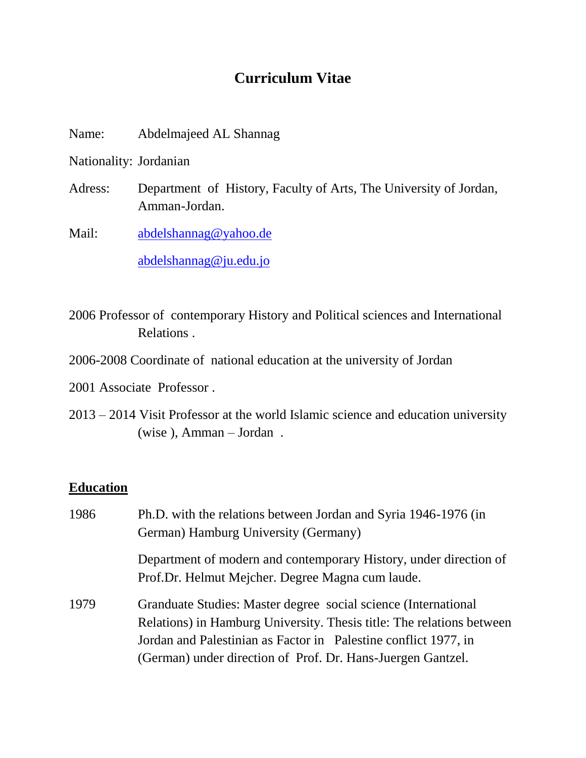# **Curriculum Vitae**

Name: Abdelmajeed AL Shannag

Nationality: Jordanian

Adress: Department of History, Faculty of Arts, The University of Jordan, Amman-Jordan.

Mail: [abdelshannag@yahoo.de](mailto:abdelshannag@yahoo.de) [abdelshannag@ju.edu.jo](mailto:abdelshannag@ju.edu.jo)

2006 Professor of contemporary History and Political sciences and International Relations .

- 2006-2008 Coordinate of national education at the university of Jordan
- 2001 Associate Professor .
- 2013 2014 Visit Professor at the world Islamic science and education university (wise ), Amman – Jordan .

#### **Education**

| 1986 | Ph.D. with the relations between Jordan and Syria 1946-1976 (in<br>German) Hamburg University (Germany)                                                                                                                                                                   |
|------|---------------------------------------------------------------------------------------------------------------------------------------------------------------------------------------------------------------------------------------------------------------------------|
|      | Department of modern and contemporary History, under direction of<br>Prof.Dr. Helmut Mejcher. Degree Magna cum laude.                                                                                                                                                     |
| 1979 | Granduate Studies: Master degree social science (International<br>Relations) in Hamburg University. Thesis title: The relations between<br>Jordan and Palestinian as Factor in Palestine conflict 1977, in<br>(German) under direction of Prof. Dr. Hans-Juergen Gantzel. |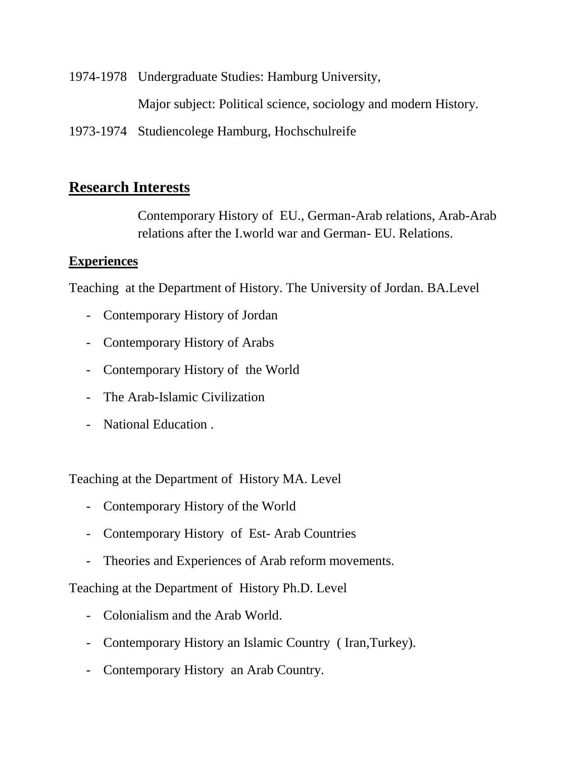1974-1978 Undergraduate Studies: Hamburg University, Major subject: Political science, sociology and modern History. 1973-1974 Studiencolege Hamburg, Hochschulreife

### **Research Interests**

Contemporary History of EU., German-Arab relations, Arab-Arab relations after the I.world war and German- EU. Relations.

#### **Experiences**

Teaching at the Department of History. The University of Jordan. BA.Level

- Contemporary History of Jordan
- Contemporary History of Arabs
- Contemporary History of the World
- The Arab-Islamic Civilization
- National Education .

Teaching at the Department of History MA. Level

- Contemporary History of the World
- Contemporary History of Est- Arab Countries
- Theories and Experiences of Arab reform movements.

Teaching at the Department of History Ph.D. Level

- Colonialism and the Arab World.
- Contemporary History an Islamic Country ( Iran,Turkey).
- Contemporary History an Arab Country.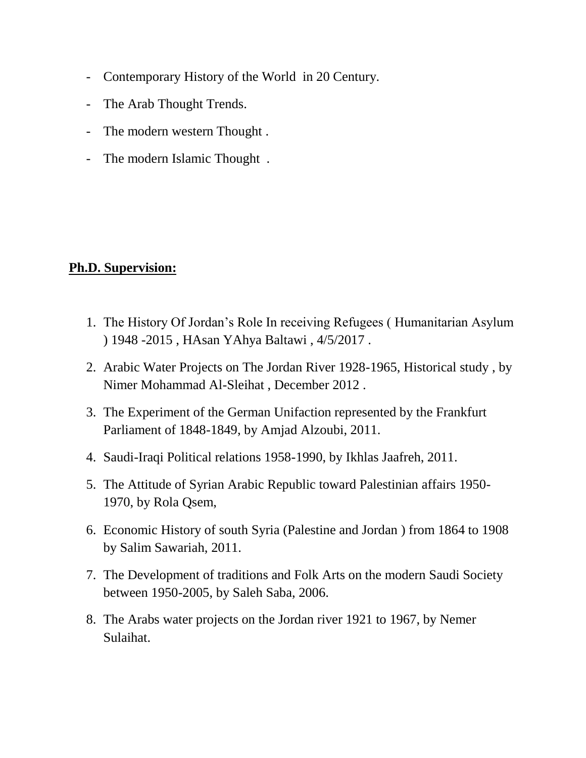- Contemporary History of the World in 20 Century.
- The Arab Thought Trends.
- The modern western Thought .
- The modern Islamic Thought .

#### **Ph.D. Supervision:**

- 1. The History Of Jordan's Role In receiving Refugees ( Humanitarian Asylum ) 1948 -2015 , HAsan YAhya Baltawi , 4/5/2017 .
- 2. Arabic Water Projects on The Jordan River 1928-1965, Historical study , by Nimer Mohammad Al-Sleihat , December 2012 .
- 3. The Experiment of the German Unifaction represented by the Frankfurt Parliament of 1848-1849, by Amjad Alzoubi, 2011.
- 4. Saudi-Iraqi Political relations 1958-1990, by Ikhlas Jaafreh, 2011.
- 5. The Attitude of Syrian Arabic Republic toward Palestinian affairs 1950- 1970, by Rola Qsem,
- 6. Economic History of south Syria (Palestine and Jordan ) from 1864 to 1908 by Salim Sawariah, 2011.
- 7. The Development of traditions and Folk Arts on the modern Saudi Society between 1950-2005, by Saleh Saba, 2006.
- 8. The Arabs water projects on the Jordan river 1921 to 1967, by Nemer Sulaihat.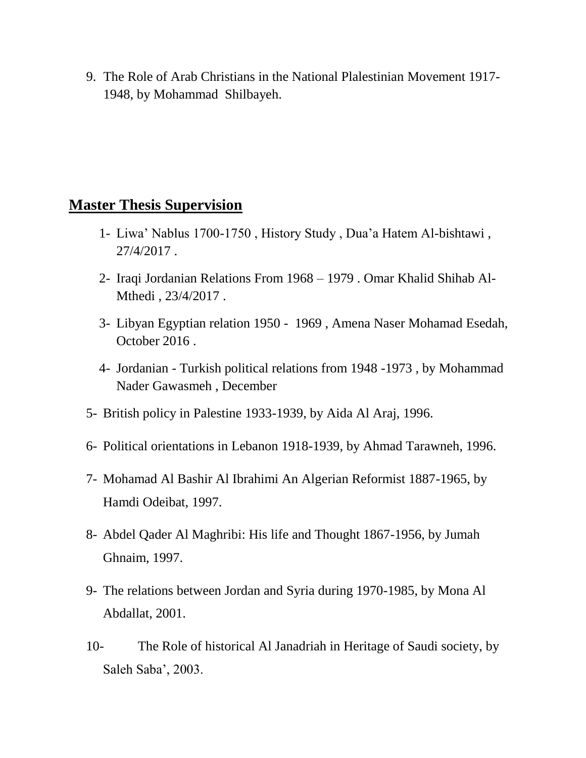9. The Role of Arab Christians in the National Plalestinian Movement 1917- 1948, by Mohammad Shilbayeh.

## **Master Thesis Supervision**

- 1- Liwa' Nablus 1700-1750 , History Study , Dua'a Hatem Al-bishtawi , 27/4/2017 .
- 2- Iraqi Jordanian Relations From 1968 1979 . Omar Khalid Shihab Al-Mthedi , 23/4/2017 .
- 3- Libyan Egyptian relation 1950 1969 , Amena Naser Mohamad Esedah, October 2016 .
- 4- Jordanian Turkish political relations from 1948 -1973 , by Mohammad Nader Gawasmeh , December
- 5- British policy in Palestine 1933-1939, by Aida Al Araj, 1996.
- 6- Political orientations in Lebanon 1918-1939, by Ahmad Tarawneh, 1996.
- 7- Mohamad Al Bashir Al Ibrahimi An Algerian Reformist 1887-1965, by Hamdi Odeibat, 1997.
- 8- Abdel Qader Al Maghribi: His life and Thought 1867-1956, by Jumah Ghnaim, 1997.
- 9- The relations between Jordan and Syria during 1970-1985, by Mona Al Abdallat, 2001.
- 10- The Role of historical Al Janadriah in Heritage of Saudi society, by Saleh Saba', 2003.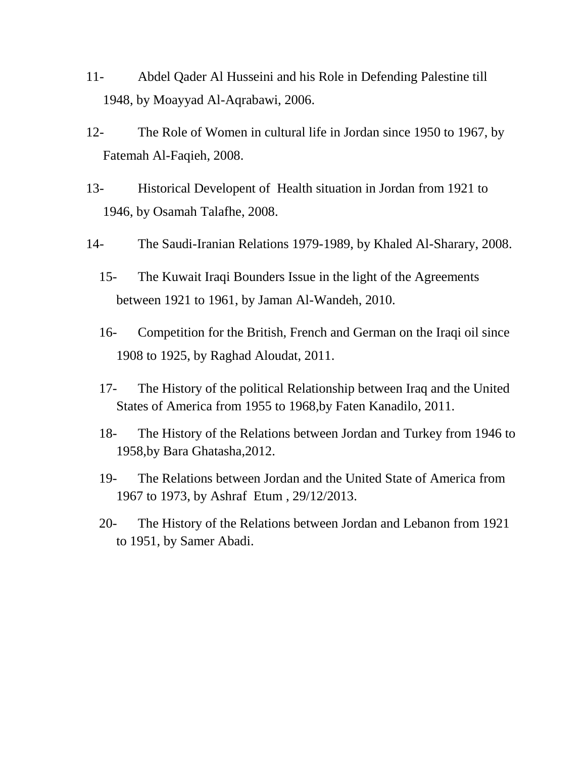- 11- Abdel Qader Al Husseini and his Role in Defending Palestine till 1948, by Moayyad Al-Aqrabawi, 2006.
- 12- The Role of Women in cultural life in Jordan since 1950 to 1967, by Fatemah Al-Faqieh, 2008.
- 13- Historical Developent of Health situation in Jordan from 1921 to 1946, by Osamah Talafhe, 2008.
- 14- The Saudi-Iranian Relations 1979-1989, by Khaled Al-Sharary, 2008.
	- 15- The Kuwait Iraqi Bounders Issue in the light of the Agreements between 1921 to 1961, by Jaman Al-Wandeh, 2010.
	- 16- Competition for the British, French and German on the Iraqi oil since 1908 to 1925, by Raghad Aloudat, 2011.
	- 17- The History of the political Relationship between Iraq and the United States of America from 1955 to 1968,by Faten Kanadilo, 2011.
	- 18- The History of the Relations between Jordan and Turkey from 1946 to 1958,by Bara Ghatasha,2012.
	- 19- The Relations between Jordan and the United State of America from 1967 to 1973, by Ashraf Etum , 29/12/2013.
	- 20- The History of the Relations between Jordan and Lebanon from 1921 to 1951, by Samer Abadi.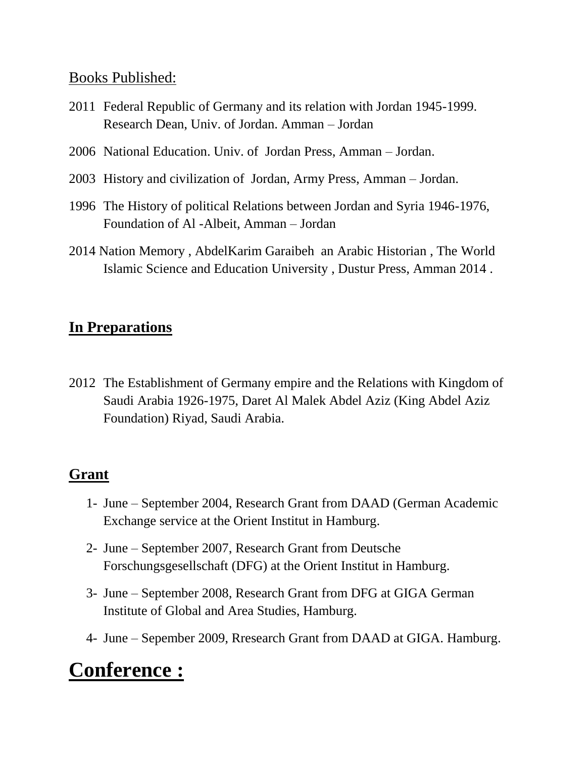## Books Published:

- 2011 Federal Republic of Germany and its relation with Jordan 1945-1999. Research Dean, Univ. of Jordan. Amman – Jordan
- 2006 National Education. Univ. of Jordan Press, Amman Jordan.
- 2003 History and civilization of Jordan, Army Press, Amman Jordan.
- 1996 The History of political Relations between Jordan and Syria 1946-1976, Foundation of Al -Albeit, Amman – Jordan
- 2014 Nation Memory , AbdelKarim Garaibeh an Arabic Historian , The World Islamic Science and Education University , Dustur Press, Amman 2014 .

## **In Preparations**

2012 The Establishment of Germany empire and the Relations with Kingdom of Saudi Arabia 1926-1975, Daret Al Malek Abdel Aziz (King Abdel Aziz Foundation) Riyad, Saudi Arabia.

## **Grant**

- 1- June September 2004, Research Grant from DAAD (German Academic Exchange service at the Orient Institut in Hamburg.
- 2- June September 2007, Research Grant from Deutsche Forschungsgesellschaft (DFG) at the Orient Institut in Hamburg.
- 3- June September 2008, Research Grant from DFG at GIGA German Institute of Global and Area Studies, Hamburg.
- 4- June Sepember 2009, Rresearch Grant from DAAD at GIGA. Hamburg.

# **Conference :**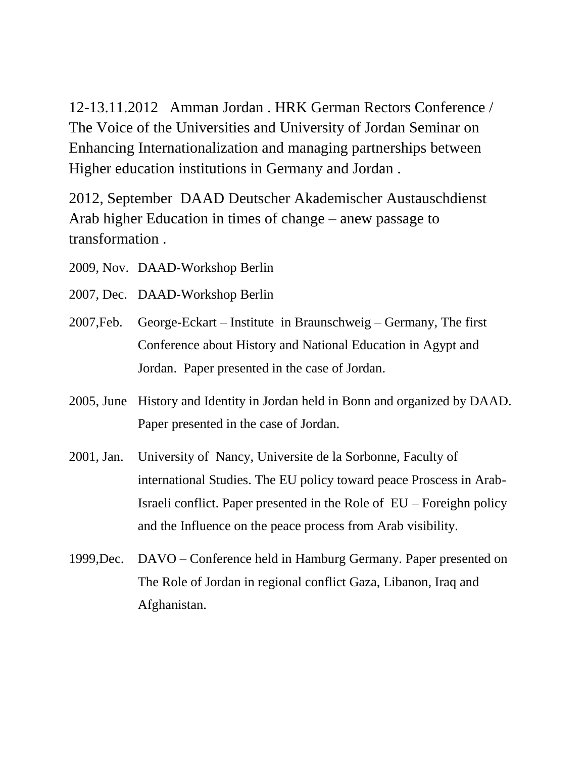12-13.11.2012 Amman Jordan . HRK German Rectors Conference / The Voice of the Universities and University of Jordan Seminar on Enhancing Internationalization and managing partnerships between Higher education institutions in Germany and Jordan .

2012, September DAAD Deutscher Akademischer Austauschdienst Arab higher Education in times of change – anew passage to transformation .

- 2009, Nov. DAAD-Workshop Berlin
- 2007, Dec. DAAD-Workshop Berlin
- 2007,Feb. George-Eckart Institute in Braunschweig Germany, The first Conference about History and National Education in Agypt and Jordan. Paper presented in the case of Jordan.
- 2005, June History and Identity in Jordan held in Bonn and organized by DAAD. Paper presented in the case of Jordan.
- 2001, Jan. University of Nancy, Universite de la Sorbonne, Faculty of international Studies. The EU policy toward peace Proscess in Arab-Israeli conflict. Paper presented in the Role of EU – Foreighn policy and the Influence on the peace process from Arab visibility.
- 1999,Dec. DAVO Conference held in Hamburg Germany. Paper presented on The Role of Jordan in regional conflict Gaza, Libanon, Iraq and Afghanistan.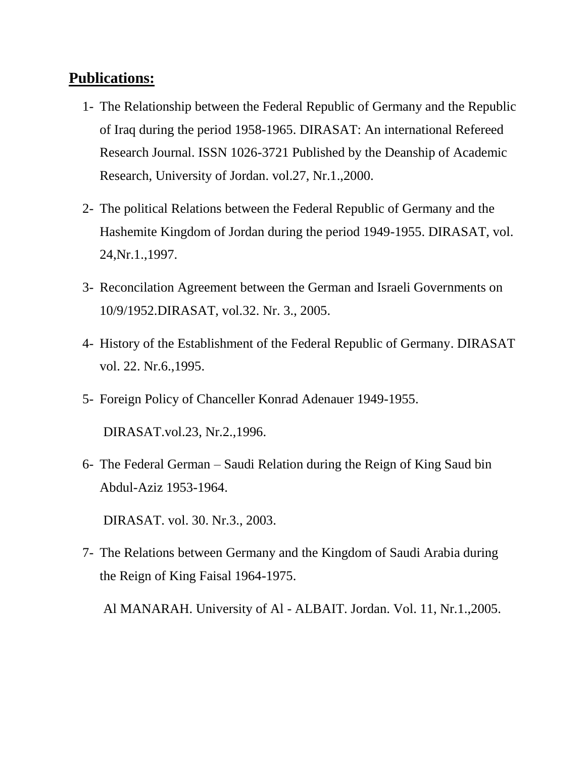## **Publications:**

- 1- The Relationship between the Federal Republic of Germany and the Republic of Iraq during the period 1958-1965. DIRASAT: An international Refereed Research Journal. ISSN 1026-3721 Published by the Deanship of Academic Research, University of Jordan. vol.27, Nr.1.,2000.
- 2- The political Relations between the Federal Republic of Germany and the Hashemite Kingdom of Jordan during the period 1949-1955. DIRASAT, vol. 24,Nr.1.,1997.
- 3- Reconcilation Agreement between the German and Israeli Governments on 10/9/1952.DIRASAT, vol.32. Nr. 3., 2005.
- 4- History of the Establishment of the Federal Republic of Germany. DIRASAT vol. 22. Nr.6.,1995.
- 5- Foreign Policy of Chanceller Konrad Adenauer 1949-1955.

DIRASAT.vol.23, Nr.2.,1996.

6- The Federal German – Saudi Relation during the Reign of King Saud bin Abdul-Aziz 1953-1964.

DIRASAT. vol. 30. Nr.3., 2003.

7- The Relations between Germany and the Kingdom of Saudi Arabia during the Reign of King Faisal 1964-1975.

Al MANARAH. University of Al - ALBAIT. Jordan. Vol. 11, Nr.1.,2005.